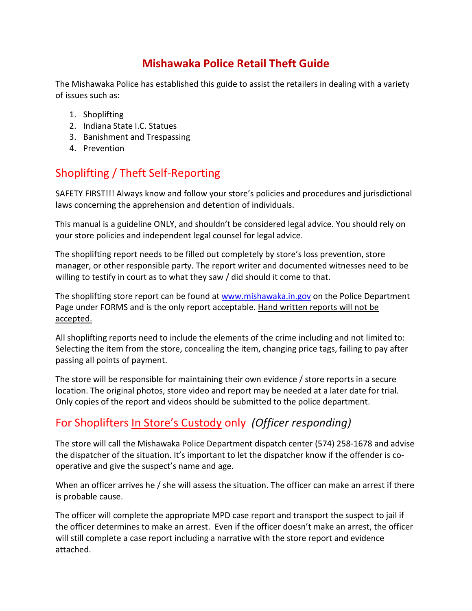## **Mishawaka Police Retail Theft Guide**

The Mishawaka Police has established this guide to assist the retailers in dealing with a variety of issues such as:

- 1. Shoplifting
- 2. Indiana State I.C. Statues
- 3. Banishment and Trespassing
- 4. Prevention

# Shoplifting / Theft Self-Reporting

SAFETY FIRST!!! Always know and follow your store's policies and procedures and jurisdictional laws concerning the apprehension and detention of individuals.

This manual is a guideline ONLY, and shouldn't be considered legal advice. You should rely on your store policies and independent legal counsel for legal advice.

The shoplifting report needs to be filled out completely by store's loss prevention, store manager, or other responsible party. The report writer and documented witnesses need to be willing to testify in court as to what they saw / did should it come to that.

The shoplifting store report can be found at [www.mishawaka.in.gov](http://www.mishawaka.in.gov/) on the Police Department Page under FORMS and is the only report acceptable. Hand written reports will not be accepted.

All shoplifting reports need to include the elements of the crime including and not limited to: Selecting the item from the store, concealing the item, changing price tags, failing to pay after passing all points of payment.

The store will be responsible for maintaining their own evidence / store reports in a secure location. The original photos, store video and report may be needed at a later date for trial. Only copies of the report and videos should be submitted to the police department.

## For Shoplifters In Store's Custody only *(Officer responding)*

The store will call the Mishawaka Police Department dispatch center (574) 258-1678 and advise the dispatcher of the situation. It's important to let the dispatcher know if the offender is cooperative and give the suspect's name and age.

When an officer arrives he / she will assess the situation. The officer can make an arrest if there is probable cause.

The officer will complete the appropriate MPD case report and transport the suspect to jail if the officer determines to make an arrest. Even if the officer doesn't make an arrest, the officer will still complete a case report including a narrative with the store report and evidence attached.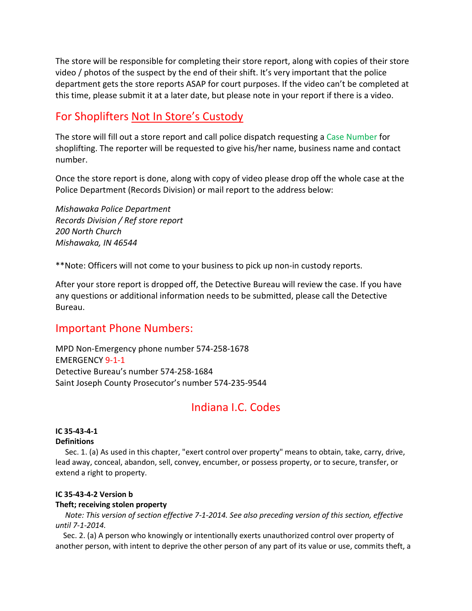The store will be responsible for completing their store report, along with copies of their store video / photos of the suspect by the end of their shift. It's very important that the police department gets the store reports ASAP for court purposes. If the video can't be completed at this time, please submit it at a later date, but please note in your report if there is a video.

### For Shoplifters Not In Store's Custody

The store will fill out a store report and call police dispatch requesting a Case Number for shoplifting. The reporter will be requested to give his/her name, business name and contact number.

Once the store report is done, along with copy of video please drop off the whole case at the Police Department (Records Division) or mail report to the address below:

*Mishawaka Police Department Records Division / Ref store report 200 North Church Mishawaka, IN 46544*

\*\*Note: Officers will not come to your business to pick up non-in custody reports.

After your store report is dropped off, the Detective Bureau will review the case. If you have any questions or additional information needs to be submitted, please call the Detective Bureau.

### Important Phone Numbers:

MPD Non-Emergency phone number 574-258-1678 EMERGENCY 9-1-1 Detective Bureau's number 574-258-1684 Saint Joseph County Prosecutor's number 574-235-9544

## Indiana I.C. Codes

#### **IC 35-43-4-1 Definitions**

Sec. 1. (a) As used in this chapter, "exert control over property" means to obtain, take, carry, drive, lead away, conceal, abandon, sell, convey, encumber, or possess property, or to secure, transfer, or extend a right to property.

#### **IC 35-43-4-2 Version b**

#### **Theft; receiving stolen property**

 *Note: This version of section effective 7-1-2014. See also preceding version of this section, effective until 7-1-2014.*

 Sec. 2. (a) A person who knowingly or intentionally exerts unauthorized control over property of another person, with intent to deprive the other person of any part of its value or use, commits theft, a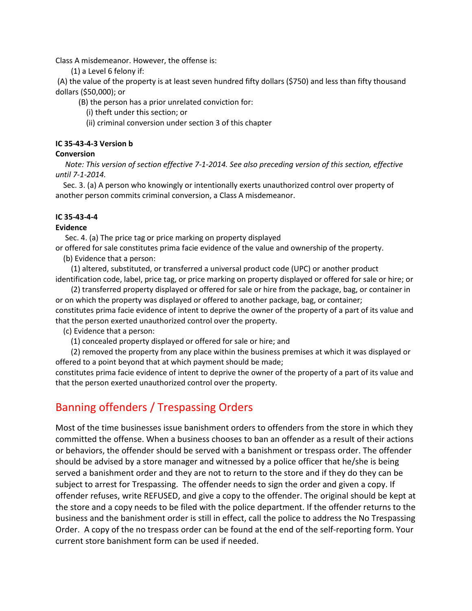Class A misdemeanor. However, the offense is:

(1) a Level 6 felony if:

(A) the value of the property is at least seven hundred fifty dollars (\$750) and less than fifty thousand dollars (\$50,000); or

(B) the person has a prior unrelated conviction for:

(i) theft under this section; or

(ii) criminal conversion under section 3 of this chapter

#### **IC 35-43-4-3 Version b**

#### **Conversion**

 *Note: This version of section effective 7-1-2014. See also preceding version of this section, effective until 7-1-2014.*

 Sec. 3. (a) A person who knowingly or intentionally exerts unauthorized control over property of another person commits criminal conversion, a Class A misdemeanor.

#### **IC 35-43-4-4**

#### **Evidence**

Sec. 4. (a) The price tag or price marking on property displayed or offered for sale constitutes prima facie evidence of the value and ownership of the property.

(b) Evidence that a person:

 (1) altered, substituted, or transferred a universal product code (UPC) or another product identification code, label, price tag, or price marking on property displayed or offered for sale or hire; or

 (2) transferred property displayed or offered for sale or hire from the package, bag, or container in or on which the property was displayed or offered to another package, bag, or container; constitutes prima facie evidence of intent to deprive the owner of the property of a part of its value and that the person exerted unauthorized control over the property.

(c) Evidence that a person:

(1) concealed property displayed or offered for sale or hire; and

 (2) removed the property from any place within the business premises at which it was displayed or offered to a point beyond that at which payment should be made;

constitutes prima facie evidence of intent to deprive the owner of the property of a part of its value and that the person exerted unauthorized control over the property.

## Banning offenders / Trespassing Orders

Most of the time businesses issue banishment orders to offenders from the store in which they committed the offense. When a business chooses to ban an offender as a result of their actions or behaviors, the offender should be served with a banishment or trespass order. The offender should be advised by a store manager and witnessed by a police officer that he/she is being served a banishment order and they are not to return to the store and if they do they can be subject to arrest for Trespassing. The offender needs to sign the order and given a copy. If offender refuses, write REFUSED, and give a copy to the offender. The original should be kept at the store and a copy needs to be filed with the police department. If the offender returns to the business and the banishment order is still in effect, call the police to address the No Trespassing Order. A copy of the no trespass order can be found at the end of the self-reporting form. Your current store banishment form can be used if needed.